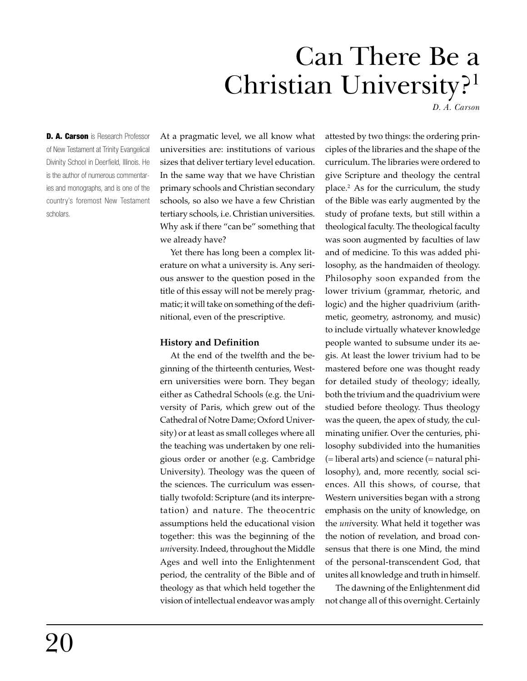# Can There Be a Christian University?<sup>1</sup>

*D. A. Carson*

D. A. Carson is Research Professor of New Testament at Trinity Evangelical Divinity School in Deerfield, Illinois. He is the author of numerous commentaries and monographs, and is one of the country's foremost New Testament scholars.

At a pragmatic level, we all know what universities are: institutions of various sizes that deliver tertiary level education. In the same way that we have Christian primary schools and Christian secondary schools, so also we have a few Christian tertiary schools, i.e. Christian universities. Why ask if there "can be" something that we already have?

Yet there has long been a complex literature on what a university is. Any serious answer to the question posed in the title of this essay will not be merely pragmatic; it will take on something of the definitional, even of the prescriptive.

## **History and Definition**

At the end of the twelfth and the beginning of the thirteenth centuries, Western universities were born. They began either as Cathedral Schools (e.g. the University of Paris, which grew out of the Cathedral of Notre Dame; Oxford University) or at least as small colleges where all the teaching was undertaken by one religious order or another (e.g. Cambridge University). Theology was the queen of the sciences. The curriculum was essentially twofold: Scripture (and its interpretation) and nature. The theocentric assumptions held the educational vision together: this was the beginning of the *uni*versity. Indeed, throughout the Middle Ages and well into the Enlightenment period, the centrality of the Bible and of theology as that which held together the vision of intellectual endeavor was amply

attested by two things: the ordering principles of the libraries and the shape of the curriculum. The libraries were ordered to give Scripture and theology the central place.2 As for the curriculum, the study of the Bible was early augmented by the study of profane texts, but still within a theological faculty. The theological faculty was soon augmented by faculties of law and of medicine. To this was added philosophy, as the handmaiden of theology. Philosophy soon expanded from the lower trivium (grammar, rhetoric, and logic) and the higher quadrivium (arithmetic, geometry, astronomy, and music) to include virtually whatever knowledge people wanted to subsume under its aegis. At least the lower trivium had to be mastered before one was thought ready for detailed study of theology; ideally, both the trivium and the quadrivium were studied before theology. Thus theology was the queen, the apex of study, the culminating unifier. Over the centuries, philosophy subdivided into the humanities (= liberal arts) and science (= natural philosophy), and, more recently, social sciences. All this shows, of course, that Western universities began with a strong emphasis on the unity of knowledge, on the *uni*versity. What held it together was the notion of revelation, and broad consensus that there is one Mind, the mind of the personal-transcendent God, that unites all knowledge and truth in himself.

The dawning of the Enlightenment did not change all of this overnight. Certainly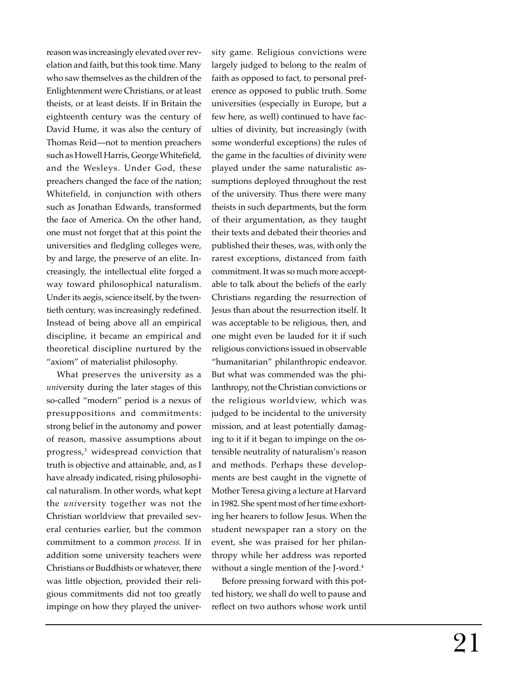reason was increasingly elevated over revelation and faith, but this took time. Many who saw themselves as the children of the Enlightenment were Christians, or at least theists, or at least deists. If in Britain the eighteenth century was the century of David Hume, it was also the century of Thomas Reid—not to mention preachers such as Howell Harris, George Whitefield, and the Wesleys. Under God, these preachers changed the face of the nation; Whitefield, in conjunction with others such as Jonathan Edwards, transformed the face of America. On the other hand, one must not forget that at this point the universities and fledgling colleges were, by and large, the preserve of an elite. Increasingly, the intellectual elite forged a way toward philosophical naturalism. Under its aegis, science itself, by the twentieth century, was increasingly redefined. Instead of being above all an empirical discipline, it became an empirical and theoretical discipline nurtured by the "axiom" of materialist philosophy.

What preserves the university as a *uni*versity during the later stages of this so-called "modern" period is a nexus of presuppositions and commitments: strong belief in the autonomy and power of reason, massive assumptions about progress,3 widespread conviction that truth is objective and attainable, and, as I have already indicated, rising philosophical naturalism. In other words, what kept the *uni*versity together was not the Christian worldview that prevailed several centuries earlier, but the common commitment to a common *process.* If in addition some university teachers were Christians or Buddhists or whatever, there was little objection, provided their religious commitments did not too greatly impinge on how they played the univer-

sity game. Religious convictions were largely judged to belong to the realm of faith as opposed to fact, to personal preference as opposed to public truth. Some universities (especially in Europe, but a few here, as well) continued to have faculties of divinity, but increasingly (with some wonderful exceptions) the rules of the game in the faculties of divinity were played under the same naturalistic assumptions deployed throughout the rest of the university. Thus there were many theists in such departments, but the form of their argumentation, as they taught their texts and debated their theories and published their theses, was, with only the rarest exceptions, distanced from faith commitment. It was so much more acceptable to talk about the beliefs of the early Christians regarding the resurrection of Jesus than about the resurrection itself. It was acceptable to be religious, then, and one might even be lauded for it if such religious convictions issued in observable "humanitarian" philanthropic endeavor. But what was commended was the philanthropy, not the Christian convictions or the religious worldview, which was judged to be incidental to the university mission, and at least potentially damaging to it if it began to impinge on the ostensible neutrality of naturalism's reason and methods. Perhaps these developments are best caught in the vignette of Mother Teresa giving a lecture at Harvard in 1982. She spent most of her time exhorting her hearers to follow Jesus. When the student newspaper ran a story on the event, she was praised for her philanthropy while her address was reported without a single mention of the J-word.<sup>4</sup>

Before pressing forward with this potted history, we shall do well to pause and reflect on two authors whose work until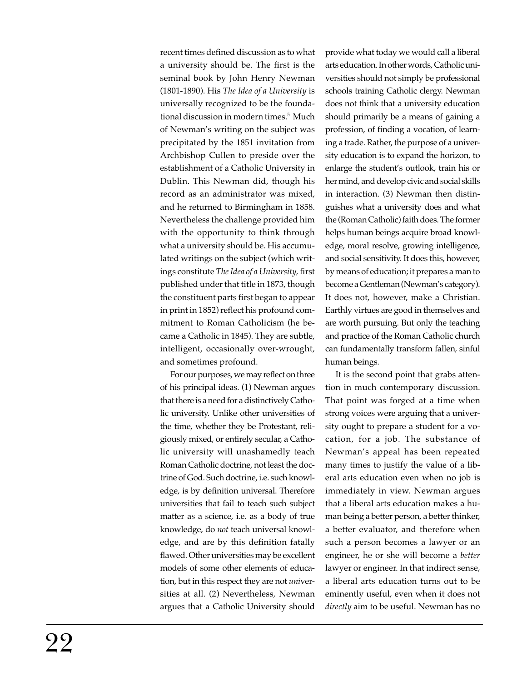recent times defined discussion as to what a university should be. The first is the seminal book by John Henry Newman (1801-1890). His *The Idea of a University* is universally recognized to be the foundational discussion in modern times.<sup>5</sup> Much of Newman's writing on the subject was precipitated by the 1851 invitation from Archbishop Cullen to preside over the establishment of a Catholic University in Dublin. This Newman did, though his record as an administrator was mixed, and he returned to Birmingham in 1858. Nevertheless the challenge provided him with the opportunity to think through what a university should be. His accumulated writings on the subject (which writings constitute *The Idea of a University,* first published under that title in 1873, though the constituent parts first began to appear in print in 1852) reflect his profound commitment to Roman Catholicism (he became a Catholic in 1845). They are subtle, intelligent, occasionally over-wrought, and sometimes profound.

For our purposes, we may reflect on three of his principal ideas. (1) Newman argues that there is a need for a distinctively Catholic university. Unlike other universities of the time, whether they be Protestant, religiously mixed, or entirely secular, a Catholic university will unashamedly teach Roman Catholic doctrine, not least the doctrine of God. Such doctrine, i.e. such knowledge, is by definition universal. Therefore universities that fail to teach such subject matter as a science, i.e. as a body of true knowledge, do *not* teach universal knowledge, and are by this definition fatally flawed. Other universities may be excellent models of some other elements of education, but in this respect they are not *uni*versities at all. (2) Nevertheless, Newman argues that a Catholic University should provide what today we would call a liberal arts education. In other words, Catholic universities should not simply be professional schools training Catholic clergy. Newman does not think that a university education should primarily be a means of gaining a profession, of finding a vocation, of learning a trade. Rather, the purpose of a university education is to expand the horizon, to enlarge the student's outlook, train his or her mind, and develop civic and social skills in interaction. (3) Newman then distinguishes what a university does and what the (Roman Catholic) faith does. The former helps human beings acquire broad knowledge, moral resolve, growing intelligence, and social sensitivity. It does this, however, by means of education; it prepares a man to become a Gentleman (Newman's category). It does not, however, make a Christian. Earthly virtues are good in themselves and are worth pursuing. But only the teaching and practice of the Roman Catholic church can fundamentally transform fallen, sinful human beings.

It is the second point that grabs attention in much contemporary discussion. That point was forged at a time when strong voices were arguing that a university ought to prepare a student for a vocation, for a job. The substance of Newman's appeal has been repeated many times to justify the value of a liberal arts education even when no job is immediately in view. Newman argues that a liberal arts education makes a human being a better person, a better thinker, a better evaluator, and therefore when such a person becomes a lawyer or an engineer, he or she will become a *better* lawyer or engineer. In that indirect sense, a liberal arts education turns out to be eminently useful, even when it does not *directly* aim to be useful. Newman has no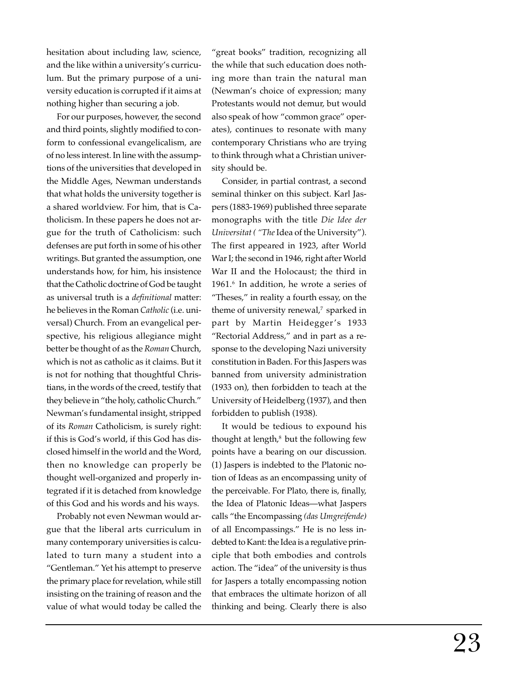hesitation about including law, science, and the like within a university's curriculum. But the primary purpose of a university education is corrupted if it aims at nothing higher than securing a job.

For our purposes, however, the second and third points, slightly modified to conform to confessional evangelicalism, are of no less interest. In line with the assumptions of the universities that developed in the Middle Ages, Newman understands that what holds the university together is a shared worldview. For him, that is Catholicism. In these papers he does not argue for the truth of Catholicism: such defenses are put forth in some of his other writings. But granted the assumption, one understands how, for him, his insistence that the Catholic doctrine of God be taught as universal truth is a *definitional* matter: he believes in the Roman *Catholic* (i.e. universal) Church. From an evangelical perspective, his religious allegiance might better be thought of as the *Roman* Church, which is not as catholic as it claims. But it is not for nothing that thoughtful Christians, in the words of the creed, testify that they believe in "the holy, catholic Church." Newman's fundamental insight, stripped of its *Roman* Catholicism, is surely right: if this is God's world, if this God has disclosed himself in the world and the Word, then no knowledge can properly be thought well-organized and properly integrated if it is detached from knowledge of this God and his words and his ways.

Probably not even Newman would argue that the liberal arts curriculum in many contemporary universities is calculated to turn many a student into a "Gentleman." Yet his attempt to preserve the primary place for revelation, while still insisting on the training of reason and the value of what would today be called the

"great books" tradition, recognizing all the while that such education does nothing more than train the natural man (Newman's choice of expression; many Protestants would not demur, but would also speak of how "common grace" operates), continues to resonate with many contemporary Christians who are trying to think through what a Christian university should be.

Consider, in partial contrast, a second seminal thinker on this subject. Karl Jaspers (1883-1969) published three separate monographs with the title *Die Idee der Universitat ( "The* Idea of the University"). The first appeared in 1923, after World War I; the second in 1946, right after World War II and the Holocaust; the third in 1961.6 In addition, he wrote a series of "Theses," in reality a fourth essay, on the theme of university renewal,<sup>7</sup> sparked in part by Martin Heidegger's 1933 "Rectorial Address," and in part as a response to the developing Nazi university constitution in Baden. For this Jaspers was banned from university administration (1933 on), then forbidden to teach at the University of Heidelberg (1937), and then forbidden to publish (1938).

It would be tedious to expound his thought at length, $^8$  but the following few points have a bearing on our discussion. (1) Jaspers is indebted to the Platonic notion of Ideas as an encompassing unity of the perceivable. For Plato, there is, finally, the Idea of Platonic Ideas—what Jaspers calls "the Encompassing *(das Umgreifende)* of all Encompassings." He is no less indebted to Kant: the Idea is a regulative principle that both embodies and controls action. The "idea" of the university is thus for Jaspers a totally encompassing notion that embraces the ultimate horizon of all thinking and being. Clearly there is also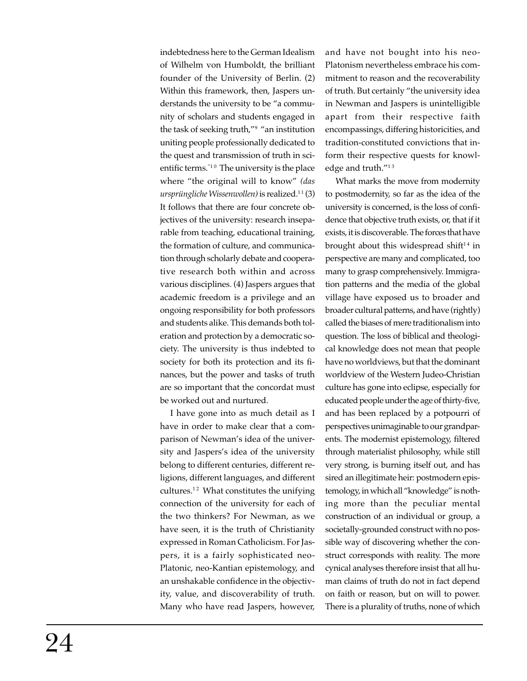indebtedness here to the German Idealism of Wilhelm von Humboldt, the brilliant founder of the University of Berlin. (2) Within this framework, then, Jaspers understands the university to be "a community of scholars and students engaged in the task of seeking truth,"9 "an institution uniting people professionally dedicated to the quest and transmission of truth in scientific terms. $10$  The university is the place where "the original will to know" *(das ursprüngliche Wissenwollen*) is realized.<sup>11</sup>(3) It follows that there are four concrete objectives of the university: research inseparable from teaching, educational training, the formation of culture, and communication through scholarly debate and cooperative research both within and across various disciplines. (4) Jaspers argues that academic freedom is a privilege and an ongoing responsibility for both professors and students alike. This demands both toleration and protection by a democratic society. The university is thus indebted to society for both its protection and its finances, but the power and tasks of truth are so important that the concordat must be worked out and nurtured.

I have gone into as much detail as I have in order to make clear that a comparison of Newman's idea of the university and Jaspers's idea of the university belong to different centuries, different religions, different languages, and different cultures. $12$  What constitutes the unifying connection of the university for each of the two thinkers? For Newman, as we have seen, it is the truth of Christianity expressed in Roman Catholicism. For Jaspers, it is a fairly sophisticated neo-Platonic, neo-Kantian epistemology, and an unshakable confidence in the objectivity, value, and discoverability of truth. Many who have read Jaspers, however,

and have not bought into his neo-Platonism nevertheless embrace his commitment to reason and the recoverability of truth. But certainly "the university idea in Newman and Jaspers is unintelligible apart from their respective faith encompassings, differing historicities, and tradition-constituted convictions that inform their respective quests for knowledge and truth."<sup>13</sup>

What marks the move from modernity to postmodernity, so far as the idea of the university is concerned, is the loss of confidence that objective truth exists, or, that if it exists, it is discoverable. The forces that have brought about this widespread shift<sup>14</sup> in perspective are many and complicated, too many to grasp comprehensively. Immigration patterns and the media of the global village have exposed us to broader and broader cultural patterns, and have (rightly) called the biases of mere traditionalism into question. The loss of biblical and theological knowledge does not mean that people have no worldviews, but that the dominant worldview of the Western Judeo-Christian culture has gone into eclipse, especially for educated people under the age of thirty-five, and has been replaced by a potpourri of perspectives unimaginable to our grandparents. The modernist epistemology, filtered through materialist philosophy, while still very strong, is burning itself out, and has sired an illegitimate heir: postmodern epistemology, in which all "knowledge" is nothing more than the peculiar mental construction of an individual or group, a societally-grounded construct with no possible way of discovering whether the construct corresponds with reality. The more cynical analyses therefore insist that all human claims of truth do not in fact depend on faith or reason, but on will to power. There is a plurality of truths, none of which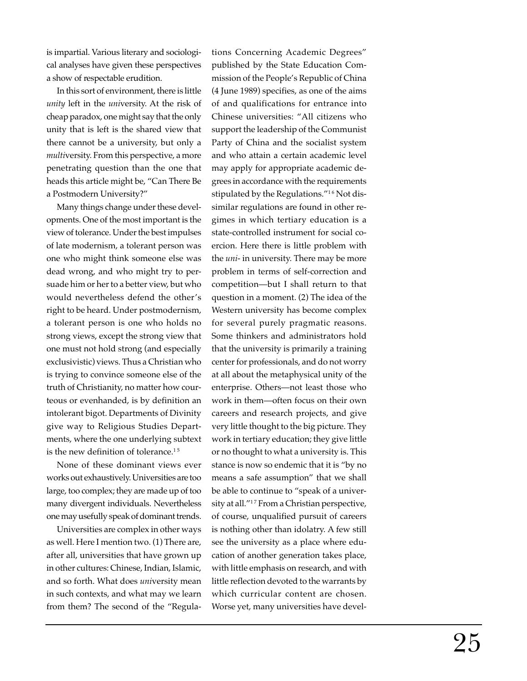is impartial. Various literary and sociological analyses have given these perspectives a show of respectable erudition.

In this sort of environment, there is little *unity* left in the *uni*versity. At the risk of cheap paradox, one might say that the only unity that is left is the shared view that there cannot be a university, but only a *multi*versity. From this perspective, a more penetrating question than the one that heads this article might be, "Can There Be a Postmodern University?"

Many things change under these developments. One of the most important is the view of tolerance. Under the best impulses of late modernism, a tolerant person was one who might think someone else was dead wrong, and who might try to persuade him or her to a better view, but who would nevertheless defend the other's right to be heard. Under postmodernism, a tolerant person is one who holds no strong views, except the strong view that one must not hold strong (and especially exclusivistic) views. Thus a Christian who is trying to convince someone else of the truth of Christianity, no matter how courteous or evenhanded, is by definition an intolerant bigot. Departments of Divinity give way to Religious Studies Departments, where the one underlying subtext is the new definition of tolerance.<sup>15</sup>

None of these dominant views ever works out exhaustively. Universities are too large, too complex; they are made up of too many divergent individuals. Nevertheless one may usefully speak of dominant trends.

Universities are complex in other ways as well. Here I mention two. (1) There are, after all, universities that have grown up in other cultures: Chinese, Indian, Islamic, and so forth. What does *uni*versity mean in such contexts, and what may we learn from them? The second of the "Regulations Concerning Academic Degrees" published by the State Education Commission of the People's Republic of China (4 June 1989) specifies, as one of the aims of and qualifications for entrance into Chinese universities: "All citizens who support the leadership of the Communist Party of China and the socialist system and who attain a certain academic level may apply for appropriate academic degrees in accordance with the requirements stipulated by the Regulations."<sup>16</sup> Not dissimilar regulations are found in other regimes in which tertiary education is a state-controlled instrument for social coercion. Here there is little problem with the *uni-* in university. There may be more problem in terms of self-correction and competition—but I shall return to that question in a moment. (2) The idea of the Western university has become complex for several purely pragmatic reasons. Some thinkers and administrators hold that the university is primarily a training center for professionals, and do not worry at all about the metaphysical unity of the enterprise. Others—not least those who work in them—often focus on their own careers and research projects, and give very little thought to the big picture. They work in tertiary education; they give little or no thought to what a university is. This stance is now so endemic that it is "by no means a safe assumption" that we shall be able to continue to "speak of a university at all."<sup>17</sup> From a Christian perspective, of course, unqualified pursuit of careers is nothing other than idolatry. A few still see the university as a place where education of another generation takes place, with little emphasis on research, and with little reflection devoted to the warrants by which curricular content are chosen. Worse yet, many universities have devel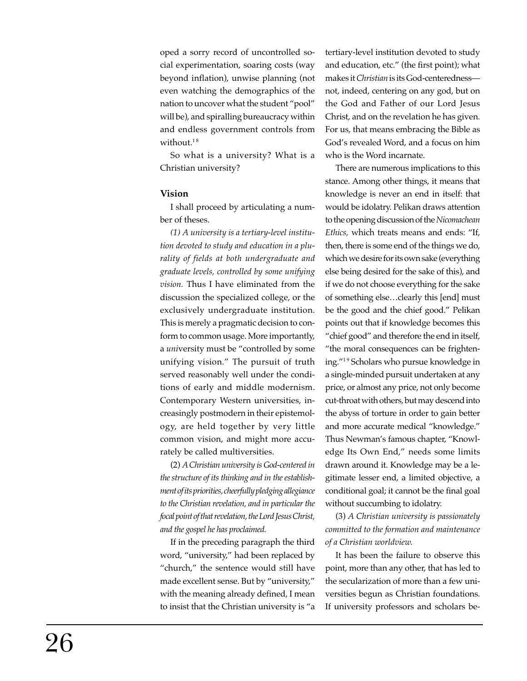oped a sorry record of uncontrolled social experimentation, soaring costs (way beyond inflation), unwise planning (not even watching the demographics of the nation to uncover what the student "pool" will be), and spiralling bureaucracy within and endless government controls from without.<sup>18</sup>

So what is a university? What is a Christian university?

### **Vision**

I shall proceed by articulating a number of theses.

*(1) A university is a tertiary-level institution devoted to study and education in a plurality of fields at both undergraduate and graduate levels, controlled by some unifying vision.* Thus I have eliminated from the discussion the specialized college, or the exclusively undergraduate institution. This is merely a pragmatic decision to conform to common usage. More importantly, a *uni*versity must be "controlled by some unifying vision." The pursuit of truth served reasonably well under the conditions of early and middle modernism. Contemporary Western universities, increasingly postmodern in their epistemology, are held together by very little common vision, and might more accurately be called multiversities.

(2) *A Christian university is God-centered in the structure of its thinking and in the establishment of its priorities, cheerfully pledging allegiance to the Christian revelation, and in particular the focal point of that revelation, the Lord Jesus Christ, and the gospel he has proclaimed.*

If in the preceding paragraph the third word, "university," had been replaced by "church," the sentence would still have made excellent sense. But by "university," with the meaning already defined, I mean to insist that the Christian university is "a tertiary-level institution devoted to study and education, etc." (the first point); what makes it *Christian* is its God-centeredness not, indeed, centering on any god, but on the God and Father of our Lord Jesus Christ, and on the revelation he has given. For us, that means embracing the Bible as God's revealed Word, and a focus on him who is the Word incarnate.

There are numerous implications to this stance. Among other things, it means that knowledge is never an end in itself: that would be idolatry. Pelikan draws attention to the opening discussion of the *Nicomachean Ethics,* which treats means and ends: "If, then, there is some end of the things we do, which we desire for its own sake (everything else being desired for the sake of this), and if we do not choose everything for the sake of something else…clearly this [end] must be the good and the chief good." Pelikan points out that if knowledge becomes this "chief good" and therefore the end in itself, "the moral consequences can be frightening."1 9 Scholars who pursue knowledge in a single-minded pursuit undertaken at any price, or almost any price, not only become cut-throat with others, but may descendinto the abyss of torture in order to gain better and more accurate medical "knowledge." Thus Newman's famous chapter, "Knowledge Its Own End," needs some limits drawn around it. Knowledge may be a legitimate lesser end, a limited objective, a conditional goal; it cannot be the final goal without succumbing to idolatry.

(3) *A Christian university is passionately committed to the formation and maintenance of a Christian worldview.*

It has been the failure to observe this point, more than any other, that has led to the secularization of more than a few universities begun as Christian foundations. If university professors and scholars be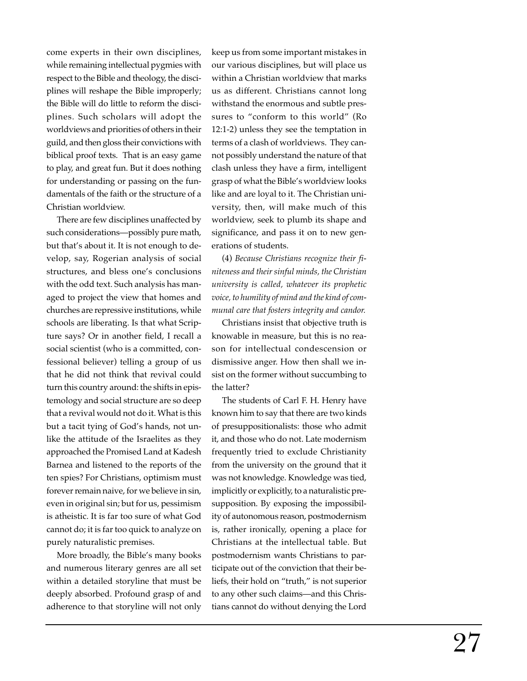come experts in their own disciplines, while remaining intellectual pygmies with respect to the Bible and theology, the disciplines will reshape the Bible improperly; the Bible will do little to reform the disciplines. Such scholars will adopt the worldviews and priorities of others in their guild, and then gloss their convictions with biblical proof texts. That is an easy game to play, and great fun. But it does nothing for understanding or passing on the fundamentals of the faith or the structure of a Christian worldview.

There are few disciplines unaffected by such considerations—possibly pure math, but that's about it. It is not enough to develop, say, Rogerian analysis of social structures, and bless one's conclusions with the odd text. Such analysis has managed to project the view that homes and churches are repressive institutions, while schools are liberating. Is that what Scripture says? Or in another field, I recall a social scientist (who is a committed, confessional believer) telling a group of us that he did not think that revival could turn this country around: the shifts in epistemology and social structure are so deep that a revival would not do it. What is this but a tacit tying of God's hands, not unlike the attitude of the Israelites as they approached the Promised Land at Kadesh Barnea and listened to the reports of the ten spies? For Christians, optimism must forever remain naive, for we believe in sin, even in original sin; but for us, pessimism is atheistic. It is far too sure of what God cannot do; it is far too quick to analyze on purely naturalistic premises.

More broadly, the Bible's many books and numerous literary genres are all set within a detailed storyline that must be deeply absorbed. Profound grasp of and adherence to that storyline will not only

keep us from some important mistakes in our various disciplines, but will place us within a Christian worldview that marks us as different. Christians cannot long withstand the enormous and subtle pressures to "conform to this world" (Ro 12:1-2) unless they see the temptation in terms of a clash of worldviews. They cannot possibly understand the nature of that clash unless they have a firm, intelligent grasp of what the Bible's worldview looks like and are loyal to it. The Christian university, then, will make much of this worldview, seek to plumb its shape and significance, and pass it on to new generations of students.

(4) *Because Christians recognize their finiteness and their sinful minds, the Christian university is called, whatever its prophetic voice, to humility of mind and the kind of communal care that fosters integrity and candor.*

Christians insist that objective truth is knowable in measure, but this is no reason for intellectual condescension or dismissive anger. How then shall we insist on the former without succumbing to the latter?

The students of Carl F. H. Henry have known him to say that there are two kinds of presuppositionalists: those who admit it, and those who do not. Late modernism frequently tried to exclude Christianity from the university on the ground that it was not knowledge. Knowledge was tied, implicitly or explicitly, to a naturalistic presupposition. By exposing the impossibility of autonomous reason, postmodernism is, rather ironically, opening a place for Christians at the intellectual table. But postmodernism wants Christians to participate out of the conviction that their beliefs, their hold on "truth," is not superior to any other such claims—and this Christians cannot do without denying the Lord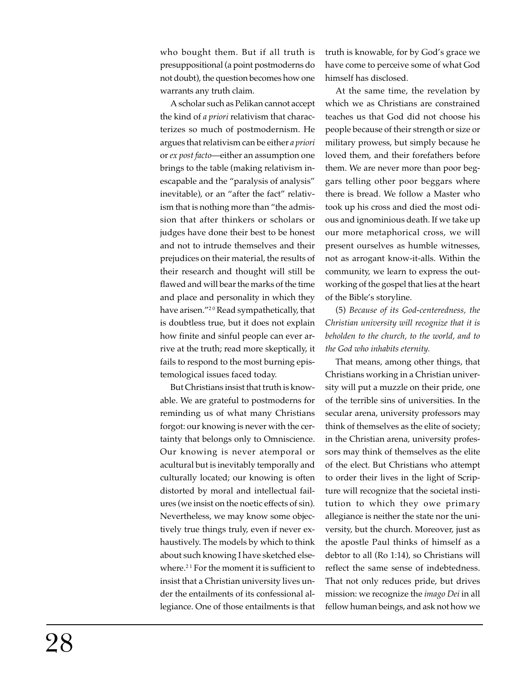who bought them. But if all truth is presuppositional (a point postmoderns do not doubt), the question becomes how one warrants any truth claim.

A scholar such as Pelikan cannot accept the kind of *a priori* relativism that characterizes so much of postmodernism. He argues that relativism can be either *a priori* or *ex post facto*—either an assumption one brings to the table (making relativism inescapable and the "paralysis of analysis" inevitable), or an "after the fact" relativism that is nothing more than "the admission that after thinkers or scholars or judges have done their best to be honest and not to intrude themselves and their prejudices on their material, the results of their research and thought will still be flawed and will bear the marks of the time and place and personality in which they have arisen."<sup>20</sup> Read sympathetically, that is doubtless true, but it does not explain how finite and sinful people can ever arrive at the truth; read more skeptically, it fails to respond to the most burning epistemological issues faced today.

But Christians insist that truth is knowable. We are grateful to postmoderns for reminding us of what many Christians forgot: our knowing is never with the certainty that belongs only to Omniscience. Our knowing is never atemporal or acultural but is inevitably temporally and culturally located; our knowing is often distorted by moral and intellectual failures (we insist on the noetic effects of sin). Nevertheless, we may know some objectively true things truly, even if never exhaustively. The models by which to think about such knowing I have sketched elsewhere.<sup>21</sup> For the moment it is sufficient to insist that a Christian university lives under the entailments of its confessional allegiance. One of those entailments is that truth is knowable, for by God's grace we have come to perceive some of what God himself has disclosed.

At the same time, the revelation by which we as Christians are constrained teaches us that God did not choose his people because of their strength or size or military prowess, but simply because he loved them, and their forefathers before them. We are never more than poor beggars telling other poor beggars where there is bread. We follow a Master who took up his cross and died the most odious and ignominious death. If we take up our more metaphorical cross, we will present ourselves as humble witnesses, not as arrogant know-it-alls. Within the community, we learn to express the outworking of the gospel that lies at the heart of the Bible's storyline.

(5) *Because of its God-centeredness, the Christian university will recognize that it is beholden to the church, to the world, and to the God who inhabits eternity.*

That means, among other things, that Christians working in a Christian university will put a muzzle on their pride, one of the terrible sins of universities. In the secular arena, university professors may think of themselves as the elite of society; in the Christian arena, university professors may think of themselves as the elite of the elect. But Christians who attempt to order their lives in the light of Scripture will recognize that the societal institution to which they owe primary allegiance is neither the state nor the university, but the church. Moreover, just as the apostle Paul thinks of himself as a debtor to all (Ro 1:14), so Christians will reflect the same sense of indebtedness. That not only reduces pride, but drives mission: we recognize the *imago Dei* in all fellow human beings, and ask not how we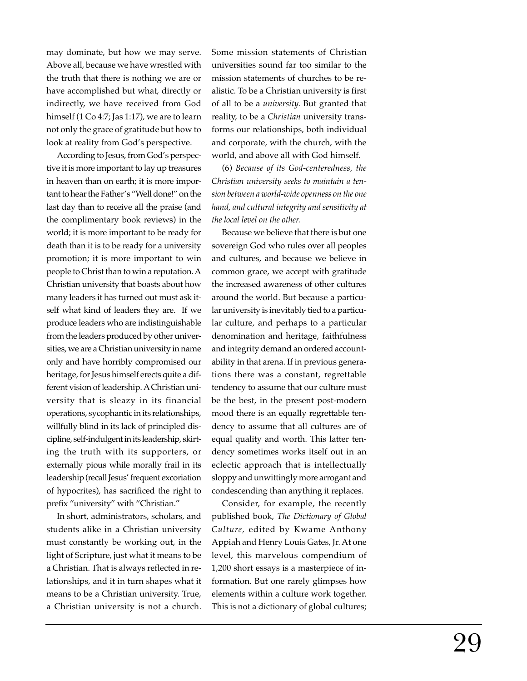may dominate, but how we may serve. Above all, because we have wrestled with the truth that there is nothing we are or have accomplished but what, directly or indirectly, we have received from God himself (1 Co 4:7; Jas 1:17), we are to learn not only the grace of gratitude but how to look at reality from God's perspective.

According to Jesus, from God's perspective it is more important to lay up treasures in heaven than on earth; it is more important to hear the Father's "Well done!" on the last day than to receive all the praise (and the complimentary book reviews) in the world; it is more important to be ready for death than it is to be ready for a university promotion; it is more important to win people to Christ than to win a reputation. A Christian university that boasts about how many leaders it has turned out must ask itself what kind of leaders they are. If we produce leaders who are indistinguishable from the leaders produced by other universities, we are a Christian university in name only and have horribly compromised our heritage, for Jesus himself erects quite a different vision of leadership. A Christian university that is sleazy in its financial operations, sycophantic in its relationships, willfully blind in its lack of principled discipline, self-indulgent in its leadership, skirting the truth with its supporters, or externally pious while morally frail in its leadership (recall Jesus' frequent excoriation of hypocrites), has sacrificed the right to prefix "university" with "Christian."

In short, administrators, scholars, and students alike in a Christian university must constantly be working out, in the light of Scripture, just what it means to be a Christian. That is always reflected in relationships, and it in turn shapes what it means to be a Christian university. True, a Christian university is not a church.

Some mission statements of Christian universities sound far too similar to the mission statements of churches to be realistic. To be a Christian university is first of all to be a *university.* But granted that reality, to be a *Christian* university transforms our relationships, both individual and corporate, with the church, with the world, and above all with God himself.

(6) *Because of its God-centeredness, the Christian university seeks to maintain a tension between a world-wide openness on the one hand, and cultural integrity and sensitivity at the local level on the other.*

Because we believe that there is but one sovereign God who rules over all peoples and cultures, and because we believe in common grace, we accept with gratitude the increased awareness of other cultures around the world. But because a particular university is inevitably tied to a particular culture, and perhaps to a particular denomination and heritage, faithfulness and integrity demand an ordered accountability in that arena. If in previous generations there was a constant, regrettable tendency to assume that our culture must be the best, in the present post-modern mood there is an equally regrettable tendency to assume that all cultures are of equal quality and worth. This latter tendency sometimes works itself out in an eclectic approach that is intellectually sloppy and unwittingly more arrogant and condescending than anything it replaces.

Consider, for example, the recently published book, *The Dictionary of Global Culture,* edited by Kwame Anthony Appiah and Henry Louis Gates, Jr. At one level, this marvelous compendium of 1,200 short essays is a masterpiece of information. But one rarely glimpses how elements within a culture work together. This is not a dictionary of global cultures;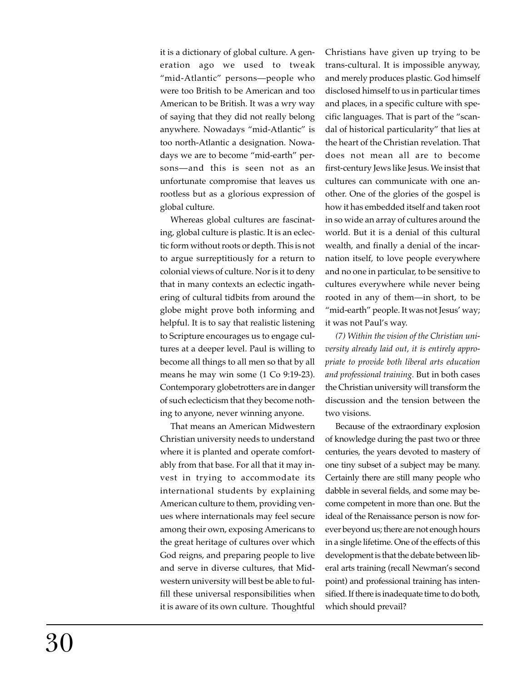it is a dictionary of global culture. A generation ago we used to tweak "mid-Atlantic" persons—people who were too British to be American and too American to be British. It was a wry way of saying that they did not really belong anywhere. Nowadays "mid-Atlantic" is too north-Atlantic a designation. Nowadays we are to become "mid-earth" persons—and this is seen not as an unfortunate compromise that leaves us rootless but as a glorious expression of global culture.

Whereas global cultures are fascinating, global culture is plastic. It is an eclectic form without roots or depth. This is not to argue surreptitiously for a return to colonial views of culture. Nor is it to deny that in many contexts an eclectic ingathering of cultural tidbits from around the globe might prove both informing and helpful. It is to say that realistic listening to Scripture encourages us to engage cultures at a deeper level. Paul is willing to become all things to all men so that by all means he may win some (1 Co 9:19-23). Contemporary globetrotters are in danger of such eclecticism that they become nothing to anyone, never winning anyone.

That means an American Midwestern Christian university needs to understand where it is planted and operate comfortably from that base. For all that it may invest in trying to accommodate its international students by explaining American culture to them, providing venues where internationals may feel secure among their own, exposing Americans to the great heritage of cultures over which God reigns, and preparing people to live and serve in diverse cultures, that Midwestern university will best be able to fulfill these universal responsibilities when it is aware of its own culture. Thoughtful Christians have given up trying to be trans-cultural. It is impossible anyway, and merely produces plastic. God himself disclosed himself to us in particular times and places, in a specific culture with specific languages. That is part of the "scandal of historical particularity" that lies at the heart of the Christian revelation. That does not mean all are to become first-century Jews like Jesus. We insist that cultures can communicate with one another. One of the glories of the gospel is how it has embedded itself and taken root in so wide an array of cultures around the world. But it is a denial of this cultural wealth, and finally a denial of the incarnation itself, to love people everywhere and no one in particular, to be sensitive to cultures everywhere while never being rooted in any of them—in short, to be "mid-earth" people. It was not Jesus' way; it was not Paul's way.

*(7) Within the vision of the Christian university already laid out, it is entirely appropriate to provide both liberal arts education and professional training.* But in both cases the Christian university will transform the discussion and the tension between the two visions.

Because of the extraordinary explosion of knowledge during the past two or three centuries, the years devoted to mastery of one tiny subset of a subject may be many. Certainly there are still many people who dabble in several fields, and some may become competent in more than one. But the ideal of the Renaissance person is now forever beyond us; there are not enough hours in a single lifetime. One of the effects of this development is that the debate between liberal arts training (recall Newman's second point) and professional training has intensified. If there is inadequate time to do both, which should prevail?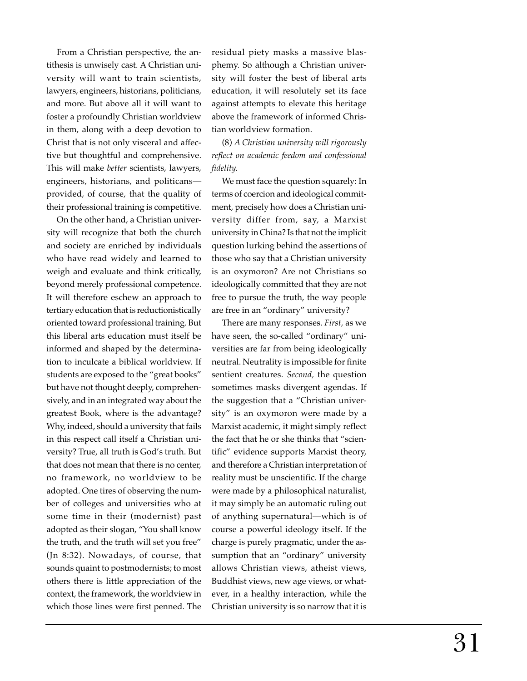From a Christian perspective, the antithesis is unwisely cast. A Christian university will want to train scientists, lawyers, engineers, historians, politicians, and more. But above all it will want to foster a profoundly Christian worldview in them, along with a deep devotion to Christ that is not only visceral and affective but thoughtful and comprehensive. This will make *better* scientists, lawyers, engineers, historians, and politicans provided, of course, that the quality of their professional training is competitive.

On the other hand, a Christian university will recognize that both the church and society are enriched by individuals who have read widely and learned to weigh and evaluate and think critically, beyond merely professional competence. It will therefore eschew an approach to tertiary education that is reductionistically oriented toward professional training. But this liberal arts education must itself be informed and shaped by the determination to inculcate a biblical worldview. If students are exposed to the "great books" but have not thought deeply, comprehensively, and in an integrated way about the greatest Book, where is the advantage? Why, indeed, should a university that fails in this respect call itself a Christian university? True, all truth is God's truth. But that does not mean that there is no center, no framework, no worldview to be adopted. One tires of observing the number of colleges and universities who at some time in their (modernist) past adopted as their slogan, "You shall know the truth, and the truth will set you free" (Jn 8:32). Nowadays, of course, that sounds quaint to postmodernists; to most others there is little appreciation of the context, the framework, the worldview in which those lines were first penned. The

residual piety masks a massive blasphemy. So although a Christian university will foster the best of liberal arts education, it will resolutely set its face against attempts to elevate this heritage above the framework of informed Christian worldview formation.

(8) *A Christian university will rigorously reflect on academic feedom and confessional fidelity.*

We must face the question squarely: In terms of coercion and ideological commitment, precisely how does a Christian university differ from, say, a Marxist university in China? Is that not the implicit question lurking behind the assertions of those who say that a Christian university is an oxymoron? Are not Christians so ideologically committed that they are not free to pursue the truth, the way people are free in an "ordinary" university?

There are many responses. *First,* as we have seen, the so-called "ordinary" universities are far from being ideologically neutral. Neutrality is impossible for finite sentient creatures. *Second,* the question sometimes masks divergent agendas. If the suggestion that a "Christian university" is an oxymoron were made by a Marxist academic, it might simply reflect the fact that he or she thinks that "scientific" evidence supports Marxist theory, and therefore a Christian interpretation of reality must be unscientific. If the charge were made by a philosophical naturalist, it may simply be an automatic ruling out of anything supernatural—which is of course a powerful ideology itself. If the charge is purely pragmatic, under the assumption that an "ordinary" university allows Christian views, atheist views, Buddhist views, new age views, or whatever, in a healthy interaction, while the Christian university is so narrow that it is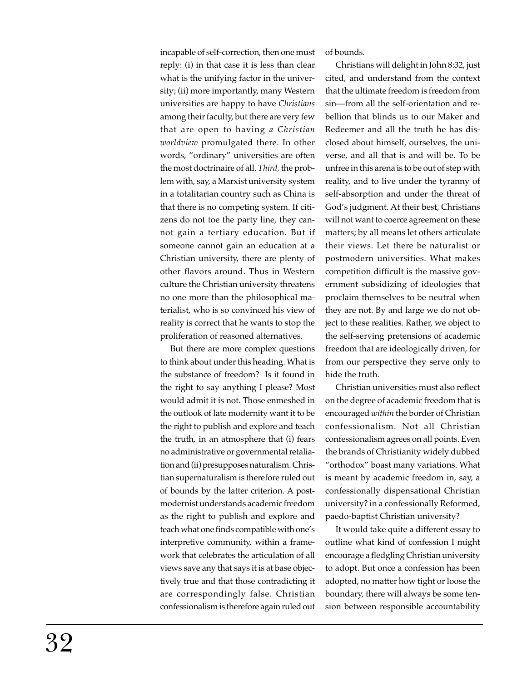incapable of self-correction, then one must reply: (i) in that case it is less than clear what is the unifying factor in the university; (ii) more importantly, many Western universities are happy to have *Christians* among their faculty, but there are very few that are open to having *a Christian worldview* promulgated there. In other words, "ordinary" universities are often the most doctrinaire of all. *Third,* the problem with, say, a Marxist university system in a totalitarian country such as China is that there is no competing system. If citizens do not toe the party line, they cannot gain a tertiary education. But if someone cannot gain an education at a Christian university, there are plenty of other flavors around. Thus in Western culture the Christian university threatens no one more than the philosophical materialist, who is so convinced his view of reality is correct that he wants to stop the proliferation of reasoned alternatives.

But there are more complex questions to think about under this heading. What is the substance of freedom? Is it found in the right to say anything I please? Most would admit it is not. Those enmeshed in the outlook of late modernity want it to be the right to publish and explore and teach the truth, in an atmosphere that (i) fears no administrative or governmental retaliation and (ii) presupposes naturalism. Christian supernaturalism is therefore ruled out of bounds by the latter criterion. A postmodernist understands academic freedom as the right to publish and explore and teach what one finds compatible with one's interpretive community, within a framework that celebrates the articulation of all views save any that says it is at base objectively true and that those contradicting it are correspondingly false. Christian confessionalism is therefore again ruled out of bounds.

Christians will delight in John 8:32, just cited, and understand from the context that the ultimate freedom is freedom from sin—from all the self-orientation and rebellion that blinds us to our Maker and Redeemer and all the truth he has disclosed about himself, ourselves, the universe, and all that is and will be. To be unfree in this arena is to be out of step with reality, and to live under the tyranny of self-absorption and under the threat of God's judgment. At their best, Christians will not want to coerce agreement on these matters; by all means let others articulate their views. Let there be naturalist or postmodern universities. What makes competition difficult is the massive government subsidizing of ideologies that proclaim themselves to be neutral when they are not. By and large we do not object to these realities. Rather, we object to the self-serving pretensions of academic freedom that are ideologically driven, for from our perspective they serve only to hide the truth.

Christian universities must also reflect on the degree of academic freedom that is encouraged *within* the border of Christian confessionalism. Not all Christian confessionalism agrees on all points. Even the brands of Christianity widely dubbed "orthodox" boast many variations. What is meant by academic freedom in, say, a confessionally dispensational Christian university? in a confessionally Reformed, paedo-baptist Christian university?

It would take quite a different essay to outline what kind of confession I might encourage a fledgling Christian university to adopt. But once a confession has been adopted, no matter how tight or loose the boundary, there will always be some tension between responsible accountability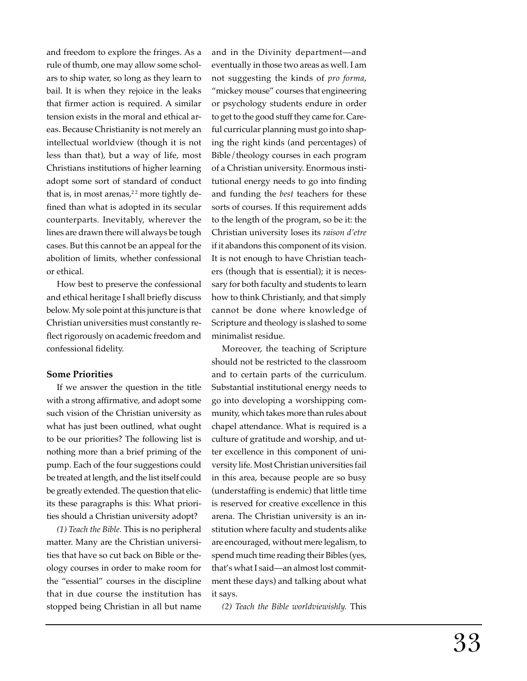and freedom to explore the fringes. As a rule of thumb, one may allow some scholars to ship water, so long as they learn to bail. It is when they rejoice in the leaks that firmer action is required. A similar tension exists in the moral and ethical areas. Because Christianity is not merely an intellectual worldview (though it is not less than that), but a way of life, most Christians institutions of higher learning adopt some sort of standard of conduct that is, in most arenas, $22$  more tightly defined than what is adopted in its secular counterparts. Inevitably, wherever the lines are drawn there will always be tough cases. But this cannot be an appeal for the abolition of limits, whether confessional or ethical.

How best to preserve the confessional and ethical heritage I shall briefly discuss below. My sole point at this juncture is that Christian universities must constantly reflect rigorously on academic freedom and confessional fidelity.

### **Some Priorities**

If we answer the question in the title with a strong affirmative, and adopt some such vision of the Christian university as what has just been outlined, what ought to be our priorities? The following list is nothing more than a brief priming of the pump. Each of the four suggestions could be treated at length, and the list itself could be greatly extended. The question that elicits these paragraphs is this: What priorities should a Christian university adopt?

*(1) Teach the Bible.* This is no peripheral matter. Many are the Christian universities that have so cut back on Bible or theology courses in order to make room for the "essential" courses in the discipline that in due course the institution has stopped being Christian in all but name

and in the Divinity department—and eventually in those two areas as well. I am not suggesting the kinds of *pro forma*, "mickey mouse" courses that engineering or psychology students endure in order to get to the good stuff they came for. Careful curricular planning must go into shaping the right kinds (and percentages) of Bible/theology courses in each program of a Christian university. Enormous institutional energy needs to go into finding and funding the *best* teachers for these sorts of courses. If this requirement adds to the length of the program, so be it: the Christian university loses its *raison d'etre* if it abandons this component of its vision. It is not enough to have Christian teachers (though that is essential); it is necessary for both faculty and students to learn how to think Christianly, and that simply cannot be done where knowledge of Scripture and theology is slashed to some minimalist residue.

Moreover, the teaching of Scripture should not be restricted to the classroom and to certain parts of the curriculum. Substantial institutional energy needs to go into developing a worshipping community, which takes more than rules about chapel attendance. What is required is a culture of gratitude and worship, and utter excellence in this component of university life. Most Christian universities fail in this area, because people are so busy (understaffing is endemic) that little time is reserved for creative excellence in this arena. The Christian university is an institution where faculty and students alike are encouraged, without mere legalism, to spend much time reading their Bibles (yes, that's what I said—an almost lost commitment these days) and talking about what it says.

*(2) Teach the Bible worldviewishly.* This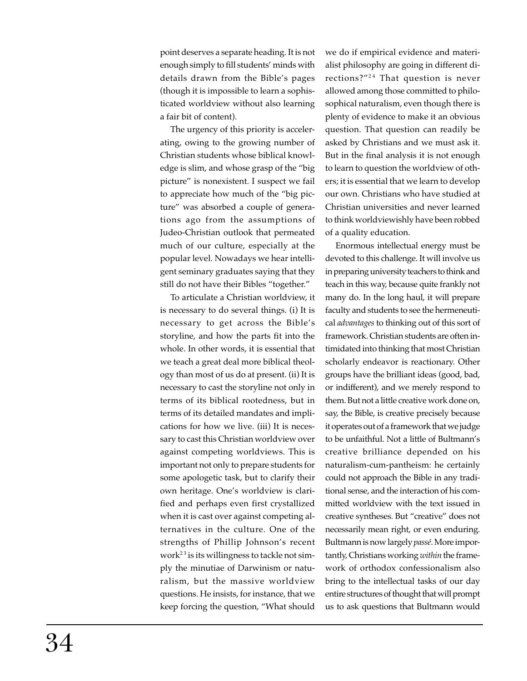point deserves a separate heading. It is not enough simply to fill students' minds with details drawn from the Bible's pages (though it is impossible to learn a sophisticated worldview without also learning a fair bit of content).

The urgency of this priority is accelerating, owing to the growing number of Christian students whose biblical knowledge is slim, and whose grasp of the "big picture" is nonexistent. I suspect we fail to appreciate how much of the "big picture" was absorbed a couple of generations ago from the assumptions of Judeo-Christian outlook that permeated much of our culture, especially at the popular level. Nowadays we hear intelligent seminary graduates saying that they still do not have their Bibles "together."

To articulate a Christian worldview, it is necessary to do several things. (i) It is necessary to get across the Bible's storyline, and how the parts fit into the whole. In other words, it is essential that we teach a great deal more biblical theology than most of us do at present. (ii) It is necessary to cast the storyline not only in terms of its biblical rootedness, but in terms of its detailed mandates and implications for how we live. (iii) It is necessary to cast this Christian worldview over against competing worldviews. This is important not only to prepare students for some apologetic task, but to clarify their own heritage. One's worldview is clarified and perhaps even first crystallized when it is cast over against competing alternatives in the culture. One of the strengths of Phillip Johnson's recent work<sup>23</sup> is its willingness to tackle not simply the minutiae of Darwinism or naturalism, but the massive worldview questions. He insists, for instance, that we keep forcing the question, "What should we do if empirical evidence and materialist philosophy are going in different directions?"<sup>24</sup> That question is never allowed among those committed to philosophical naturalism, even though there is plenty of evidence to make it an obvious question. That question can readily be asked by Christians and we must ask it. But in the final analysis it is not enough to learn to question the worldview of others; it is essential that we learn to develop our own. Christians who have studied at Christian universities and never learned to think worldviewishly have been robbed of a quality education.

Enormous intellectual energy must be devoted to this challenge. It will involve us in preparing university teachers to think and teach in this way, because quite frankly not many do. In the long haul, it will prepare faculty and students to see the hermeneutical *advantages* to thinking out of this sort of framework. Christian students are often intimidated into thinking that most Christian scholarly endeavor is reactionary. Other groups have the brilliant ideas (good, bad, or indifferent), and we merely respond to them. But not a little creative work done on, say, the Bible, is creative precisely because it operates out of a framework that we judge to be unfaithful. Not a little of Bultmann's creative brilliance depended on his naturalism-cum-pantheism: he certainly could not approach the Bible in any traditional sense, and the interaction of his committed worldview with the text issued in creative syntheses. But "creative" does not necessarily mean right, or even enduring. Bultmann is now largely *passé*. More importantly, Christians working *within* the framework of orthodox confessionalism also bring to the intellectual tasks of our day entire structures of thought that will prompt us to ask questions that Bultmann would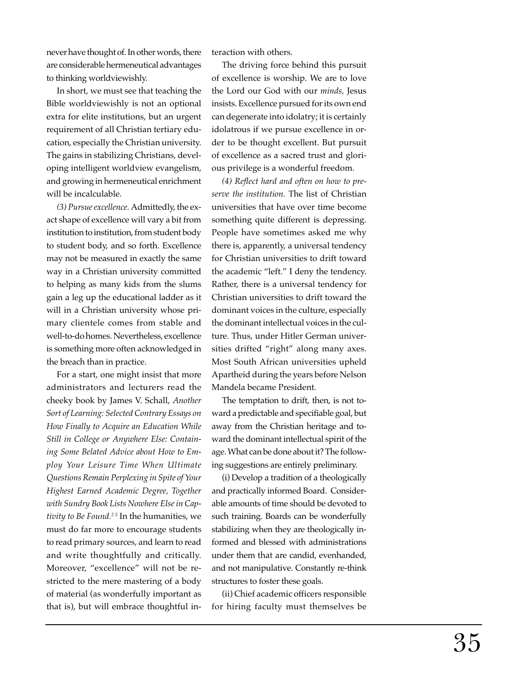never have thought of. In other words, there are considerable hermeneutical advantages to thinking worldviewishly.

In short, we must see that teaching the Bible worldviewishly is not an optional extra for elite institutions, but an urgent requirement of all Christian tertiary education, especially the Christian university. The gains in stabilizing Christians, developing intelligent worldview evangelism, and growing in hermeneutical enrichment will be incalculable.

*(3) Pursue excellence.* Admittedly, the exact shape of excellence will vary a bit from institution to institution, from student body to student body, and so forth. Excellence may not be measured in exactly the same way in a Christian university committed to helping as many kids from the slums gain a leg up the educational ladder as it will in a Christian university whose primary clientele comes from stable and well-to-do homes. Nevertheless, excellence is something more often acknowledged in the breach than in practice.

For a start, one might insist that more administrators and lecturers read the cheeky book by James V. Schall, *Another Sort of Learning: Selected Contrary Essays on How Finally to Acquire an Education While Still in College or Anywhere Else: Containing Some Belated Advice about How to Employ Your Leisure Time When Ultimate Questions Remain Perplexing in Spite of Your Highest Earned Academic Degree, Together with Sundry Book Lists Nowhere Else in Captivity to Be Found.2 5* In the humanities, we must do far more to encourage students to read primary sources, and learn to read and write thoughtfully and critically. Moreover, "excellence" will not be restricted to the mere mastering of a body of material (as wonderfully important as that is), but will embrace thoughtful interaction with others.

The driving force behind this pursuit of excellence is worship. We are to love the Lord our God with our *minds,* Jesus insists. Excellence pursued for its own end can degenerate into idolatry; it is certainly idolatrous if we pursue excellence in order to be thought excellent. But pursuit of excellence as a sacred trust and glorious privilege is a wonderful freedom.

*(4) Reflect hard and often on how to preserve the institution.* The list of Christian universities that have over time become something quite different is depressing. People have sometimes asked me why there is, apparently, a universal tendency for Christian universities to drift toward the academic "left." I deny the tendency. Rather, there is a universal tendency for Christian universities to drift toward the dominant voices in the culture, especially the dominant intellectual voices in the culture. Thus, under Hitler German universities drifted "right" along many axes. Most South African universities upheld Apartheid during the years before Nelson Mandela became President.

The temptation to drift, then, is not toward a predictable and specifiable goal, but away from the Christian heritage and toward the dominant intellectual spirit of the age. What can be done about it? The following suggestions are entirely preliminary.

(i) Develop a tradition of a theologically and practically informed Board. Considerable amounts of time should be devoted to such training. Boards can be wonderfully stabilizing when they are theologically informed and blessed with administrations under them that are candid, evenhanded, and not manipulative. Constantly re-think structures to foster these goals.

(ii) Chief academic officers responsible for hiring faculty must themselves be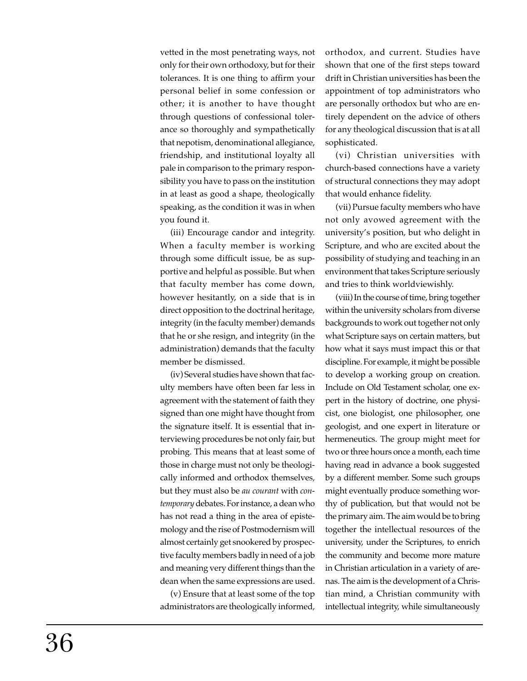vetted in the most penetrating ways, not only for their own orthodoxy, but for their tolerances. It is one thing to affirm your personal belief in some confession or other; it is another to have thought through questions of confessional tolerance so thoroughly and sympathetically that nepotism, denominational allegiance, friendship, and institutional loyalty all pale in comparison to the primary responsibility you have to pass on the institution in at least as good a shape, theologically speaking, as the condition it was in when you found it.

(iii) Encourage candor and integrity. When a faculty member is working through some difficult issue, be as supportive and helpful as possible. But when that faculty member has come down, however hesitantly, on a side that is in direct opposition to the doctrinal heritage, integrity (in the faculty member) demands that he or she resign, and integrity (in the administration) demands that the faculty member be dismissed.

(iv) Several studies have shown that faculty members have often been far less in agreement with the statement of faith they signed than one might have thought from the signature itself. It is essential that interviewing procedures be not only fair, but probing. This means that at least some of those in charge must not only be theologically informed and orthodox themselves, but they must also be *au courant* with *contemporary* debates. For instance, a dean who has not read a thing in the area of epistemology and the rise of Postmodernism will almost certainly get snookered by prospective faculty members badly in need of a job and meaning very different things than the dean when the same expressions are used.

(v) Ensure that at least some of the top administrators are theologically informed, orthodox, and current. Studies have shown that one of the first steps toward drift in Christian universities has been the appointment of top administrators who are personally orthodox but who are entirely dependent on the advice of others for any theological discussion that is at all sophisticated.

(vi) Christian universities with church-based connections have a variety of structural connections they may adopt that would enhance fidelity.

(vii) Pursue faculty members who have not only avowed agreement with the university's position, but who delight in Scripture, and who are excited about the possibility of studying and teaching in an environment that takes Scripture seriously and tries to think worldviewishly.

(viii) In the course of time, bring together within the university scholars from diverse backgrounds to work out together not only what Scripture says on certain matters, but how what it says must impact this or that discipline. For example, it might be possible to develop a working group on creation. Include on Old Testament scholar, one expert in the history of doctrine, one physicist, one biologist, one philosopher, one geologist, and one expert in literature or hermeneutics. The group might meet for two or three hours once a month, each time having read in advance a book suggested by a different member. Some such groups might eventually produce something worthy of publication, but that would not be the primary aim. The aim would be to bring together the intellectual resources of the university, under the Scriptures, to enrich the community and become more mature in Christian articulation in a variety of arenas. The aim is the development of a Christian mind, a Christian community with intellectual integrity, while simultaneously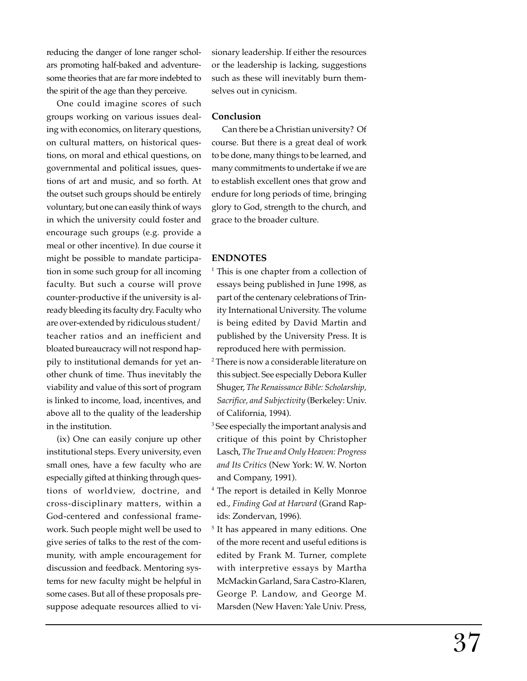reducing the danger of lone ranger scholars promoting half-baked and adventuresome theories that are far more indebted to the spirit of the age than they perceive.

One could imagine scores of such groups working on various issues dealing with economics, on literary questions, on cultural matters, on historical questions, on moral and ethical questions, on governmental and political issues, questions of art and music, and so forth. At the outset such groups should be entirely voluntary, but one can easily think of ways in which the university could foster and encourage such groups (e.g. provide a meal or other incentive). In due course it might be possible to mandate participation in some such group for all incoming faculty. But such a course will prove counter-productive if the university is already bleeding its faculty dry. Faculty who are over-extended by ridiculous student/ teacher ratios and an inefficient and bloated bureaucracy will not respond happily to institutional demands for yet another chunk of time. Thus inevitably the viability and value of this sort of program is linked to income, load, incentives, and above all to the quality of the leadership in the institution.

(ix) One can easily conjure up other institutional steps. Every university, even small ones, have a few faculty who are especially gifted at thinking through questions of worldview, doctrine, and cross-disciplinary matters, within a God-centered and confessional framework. Such people might well be used to give series of talks to the rest of the community, with ample encouragement for discussion and feedback. Mentoring systems for new faculty might be helpful in some cases. But all of these proposals presuppose adequate resources allied to visionary leadership. If either the resources or the leadership is lacking, suggestions such as these will inevitably burn themselves out in cynicism.

#### **Conclusion**

Can there be a Christian university? Of course. But there is a great deal of work to be done, many things to be learned, and many commitments to undertake if we are to establish excellent ones that grow and endure for long periods of time, bringing glory to God, strength to the church, and grace to the broader culture.

#### **ENDNOTES**

- <sup>1</sup> This is one chapter from a collection of essays being published in June 1998, as part of the centenary celebrations of Trinity International University. The volume is being edited by David Martin and published by the University Press. It is reproduced here with permission.
- 2 There is now a considerable literature on this subject. See especially Debora Kuller Shuger, *The Renaissance Bible: Scholarship, Sacrifice, and Subjectivity* (Berkeley: Univ. of California, 1994).
- 3 See especially the important analysis and critique of this point by Christopher Lasch, *The True and Only Heaven: Progress and Its Critics* (New York: W. W. Norton and Company, 1991).
- 4 The report is detailed in Kelly Monroe ed., *Finding God at Harvard* (Grand Rapids: Zondervan, 1996).
- 5 It has appeared in many editions. One of the more recent and useful editions is edited by Frank M. Turner, complete with interpretive essays by Martha McMackin Garland, Sara Castro-Klaren, George P. Landow, and George M. Marsden (New Haven: Yale Univ. Press,